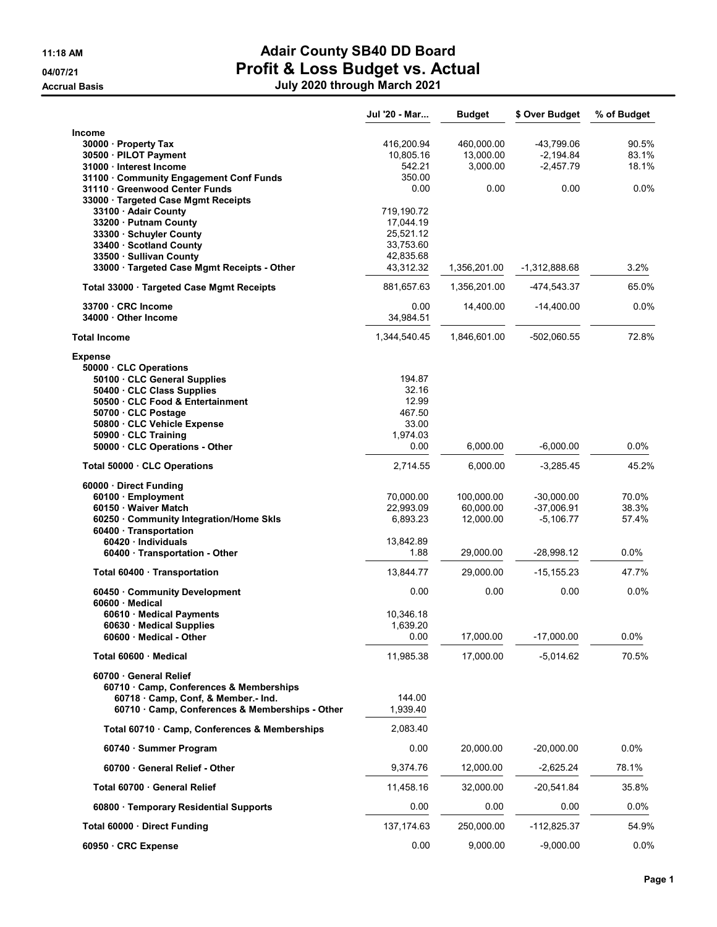|                                                                         | Jul '20 - Mar         | <b>Budget</b>          | \$ Over Budget              | % of Budget    |
|-------------------------------------------------------------------------|-----------------------|------------------------|-----------------------------|----------------|
| Income                                                                  |                       |                        |                             |                |
| 30000 · Property Tax                                                    | 416,200.94            | 460,000.00             | -43,799.06                  | 90.5%          |
| 30500 · PILOT Payment                                                   | 10,805.16             | 13,000.00              | $-2,194.84$                 | 83.1%          |
| 31000 · Interest Income                                                 | 542.21                | 3,000.00               | $-2,457.79$                 | 18.1%          |
| 31100 · Community Engagement Conf Funds<br>31110 Greenwood Center Funds | 350.00<br>0.00        | 0.00                   | 0.00                        | 0.0%           |
| 33000 · Targeted Case Mgmt Receipts                                     |                       |                        |                             |                |
| 33100 Adair County                                                      | 719,190.72            |                        |                             |                |
| 33200 Putnam County                                                     | 17,044.19             |                        |                             |                |
| 33300 · Schuyler County                                                 | 25,521.12             |                        |                             |                |
| 33400 · Scotland County                                                 | 33,753.60             |                        |                             |                |
| 33500 · Sullivan County                                                 | 42,835.68             |                        |                             |                |
| 33000 · Targeted Case Mgmt Receipts - Other                             | 43,312.32             | 1,356,201.00           | -1,312,888.68               | 3.2%           |
| Total 33000 · Targeted Case Mgmt Receipts                               | 881,657.63            | 1,356,201.00           | -474,543.37                 | 65.0%          |
| 33700 CRC Income                                                        | 0.00                  | 14,400.00              | $-14,400.00$                | $0.0\%$        |
| 34000 Other Income                                                      | 34,984.51             |                        |                             |                |
| <b>Total Income</b>                                                     | 1,344,540.45          | 1,846,601.00           | -502,060.55                 | 72.8%          |
| <b>Expense</b>                                                          |                       |                        |                             |                |
| 50000 · CLC Operations<br>50100 · CLC General Supplies                  | 194.87                |                        |                             |                |
| 50400 · CLC Class Supplies                                              | 32.16                 |                        |                             |                |
| 50500 CLC Food & Entertainment                                          | 12.99                 |                        |                             |                |
| 50700 CLC Postage                                                       | 467.50                |                        |                             |                |
| 50800 CLC Vehicle Expense                                               | 33.00                 |                        |                             |                |
| 50900 · CLC Training                                                    | 1,974.03              |                        |                             |                |
| 50000 · CLC Operations - Other                                          | 0.00                  | 6,000.00               | $-6,000.00$                 | $0.0\%$        |
| Total 50000 · CLC Operations                                            | 2,714.55              | 6,000.00               | $-3,285.45$                 | 45.2%          |
| 60000 · Direct Funding                                                  |                       |                        |                             |                |
| 60100 · Employment                                                      | 70,000.00             | 100,000.00             | $-30,000.00$                | 70.0%          |
| 60150 Waiver Match<br>60250 Community Integration/Home Skls             | 22,993.09<br>6,893.23 | 60,000.00<br>12,000.00 | $-37,006.91$<br>$-5,106.77$ | 38.3%<br>57.4% |
| 60400 · Transportation                                                  |                       |                        |                             |                |
| 60420 · Individuals                                                     | 13,842.89             |                        |                             |                |
| 60400 · Transportation - Other                                          | 1.88                  | 29,000.00              | $-28,998.12$                | 0.0%           |
| Total 60400 · Transportation                                            | 13,844.77             | 29,000.00              | $-15, 155.23$               | 47.7%          |
| 60450 Community Development<br>60600 · Medical                          | 0.00                  | 0.00                   | 0.00                        | 0.0%           |
| 60610 · Medical Payments                                                | 10,346.18             |                        |                             |                |
| 60630 Medical Supplies                                                  | 1,639.20              |                        |                             |                |
| 60600 · Medical - Other                                                 | 0.00                  | 17,000.00              | $-17,000.00$                | 0.0%           |
| Total 60600 · Medical                                                   | 11,985.38             | 17,000.00              | $-5,014.62$                 | 70.5%          |
| 60700 General Relief                                                    |                       |                        |                             |                |
| 60710 Camp, Conferences & Memberships                                   |                       |                        |                             |                |
| 60718 Camp, Conf, & Member.- Ind.                                       | 144.00                |                        |                             |                |
| 60710 · Camp, Conferences & Memberships - Other                         | 1,939.40              |                        |                             |                |
| Total 60710 · Camp, Conferences & Memberships                           | 2,083.40              |                        |                             |                |
| 60740 · Summer Program                                                  | 0.00                  | 20,000.00              | $-20,000.00$                | $0.0\%$        |
| 60700 General Relief - Other                                            | 9,374.76              | 12,000.00              | $-2,625.24$                 | 78.1%          |
| Total 60700 General Relief                                              | 11,458.16             | 32,000.00              | $-20,541.84$                | 35.8%          |
| 60800 · Temporary Residential Supports                                  | 0.00                  | 0.00                   | 0.00                        | 0.0%           |
| Total 60000 · Direct Funding                                            | 137, 174.63           | 250,000.00             | $-112,825.37$               | 54.9%          |
| 60950 CRC Expense                                                       | 0.00                  | 9,000.00               | $-9,000.00$                 | 0.0%           |
|                                                                         |                       |                        |                             |                |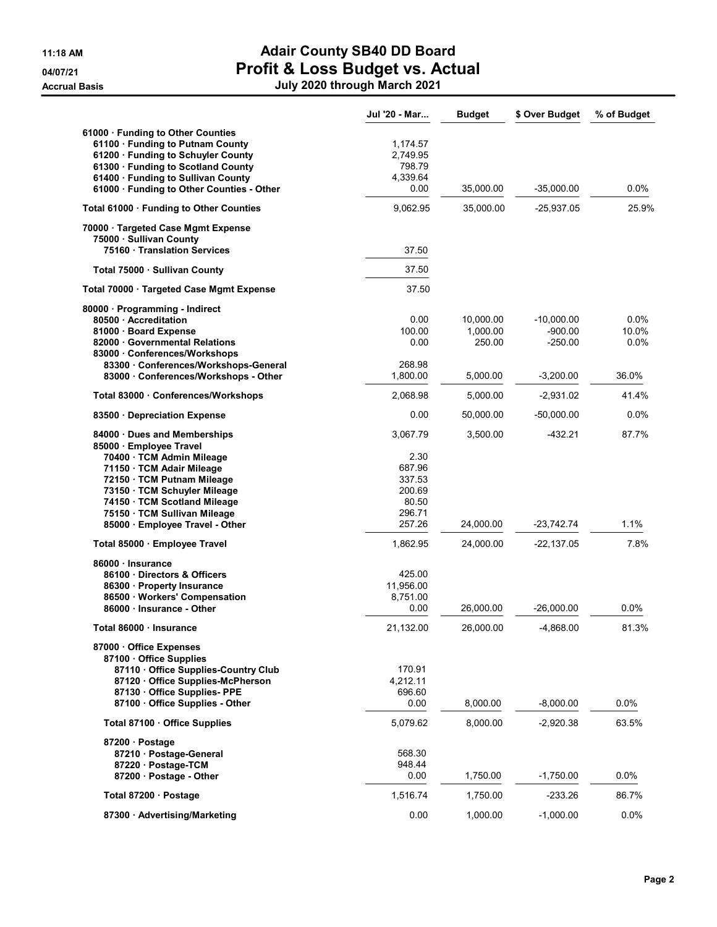|                                                         | Jul '20 - Mar    | <b>Budget</b> | \$ Over Budget | % of Budget |
|---------------------------------------------------------|------------------|---------------|----------------|-------------|
| 61000 · Funding to Other Counties                       |                  |               |                |             |
| 61100 · Funding to Putnam County                        | 1,174.57         |               |                |             |
| 61200 Funding to Schuyler County                        | 2,749.95         |               |                |             |
| 61300 · Funding to Scotland County                      | 798.79           |               |                |             |
| 61400 · Funding to Sullivan County                      | 4,339.64<br>0.00 | 35,000.00     | $-35,000.00$   | 0.0%        |
| 61000 · Funding to Other Counties - Other               |                  |               |                |             |
| Total 61000 · Funding to Other Counties                 | 9,062.95         | 35,000.00     | $-25,937.05$   | 25.9%       |
| 70000 · Targeted Case Mgmt Expense                      |                  |               |                |             |
| 75000 · Sullivan County<br>75160 Translation Services   | 37.50            |               |                |             |
| Total 75000 · Sullivan County                           | 37.50            |               |                |             |
| Total 70000 · Targeted Case Mgmt Expense                | 37.50            |               |                |             |
|                                                         |                  |               |                |             |
| 80000 · Programming - Indirect<br>80500 - Accreditation | 0.00             | 10,000.00     | $-10,000.00$   | 0.0%        |
| 81000 · Board Expense                                   | 100.00           | 1,000.00      | $-900.00$      | 10.0%       |
| 82000 Governmental Relations                            | 0.00             | 250.00        | $-250.00$      | 0.0%        |
| 83000 Conferences/Workshops                             |                  |               |                |             |
| 83300 Conferences/Workshops-General                     | 268.98           |               |                |             |
| 83000 Conferences/Workshops - Other                     | 1,800.00         | 5,000.00      | $-3,200.00$    | 36.0%       |
| Total 83000 · Conferences/Workshops                     | 2,068.98         | 5,000.00      | $-2,931.02$    | 41.4%       |
| 83500 Depreciation Expense                              | 0.00             | 50,000.00     | $-50,000.00$   | 0.0%        |
| 84000 · Dues and Memberships                            | 3,067.79         | 3,500.00      | $-432.21$      | 87.7%       |
| 85000 · Employee Travel                                 |                  |               |                |             |
| 70400 · TCM Admin Mileage                               | 2.30             |               |                |             |
| 71150 · TCM Adair Mileage<br>72150 · TCM Putnam Mileage | 687.96<br>337.53 |               |                |             |
| 73150 · TCM Schuyler Mileage                            | 200.69           |               |                |             |
| 74150 · TCM Scotland Mileage                            | 80.50            |               |                |             |
| 75150 · TCM Sullivan Mileage                            | 296.71           |               |                |             |
| 85000 · Employee Travel - Other                         | 257.26           | 24,000.00     | -23,742.74     | 1.1%        |
| Total 85000 · Employee Travel                           | 1,862.95         | 24,000.00     | $-22,137.05$   | 7.8%        |
| 86000 · Insurance                                       |                  |               |                |             |
| 86100 Directors & Officers                              | 425.00           |               |                |             |
| 86300 · Property Insurance                              | 11,956.00        |               |                |             |
| 86500 · Workers' Compensation                           | 8,751.00         |               |                |             |
| 86000 · Insurance - Other                               | 0.00             | 26,000.00     | $-26,000.00$   | 0.0%        |
| Total 86000 · Insurance                                 | 21,132.00        | 26,000.00     | -4,868.00      | 81.3%       |
| 87000 Office Expenses                                   |                  |               |                |             |
| 87100 Office Supplies                                   |                  |               |                |             |
| 87110 Office Supplies-Country Club                      | 170.91           |               |                |             |
| 87120 Office Supplies-McPherson                         | 4,212.11         |               |                |             |
| 87130 Office Supplies-PPE                               | 696.60           |               |                |             |
| 87100 Office Supplies - Other                           | 0.00             | 8,000.00      | $-8,000.00$    | 0.0%        |
| Total 87100 · Office Supplies                           | 5,079.62         | 8,000.00      | $-2,920.38$    | 63.5%       |
| 87200 · Postage                                         |                  |               |                |             |
| 87210 Postage-General                                   | 568.30           |               |                |             |
| 87220 · Postage-TCM                                     | 948.44           |               |                |             |
| 87200 · Postage - Other                                 | 0.00             | 1,750.00      | $-1,750.00$    | $0.0\%$     |
| Total 87200 · Postage                                   | 1,516.74         | 1,750.00      | $-233.26$      | 86.7%       |
| 87300 Advertising/Marketing                             | 0.00             | 1,000.00      | $-1,000.00$    | $0.0\%$     |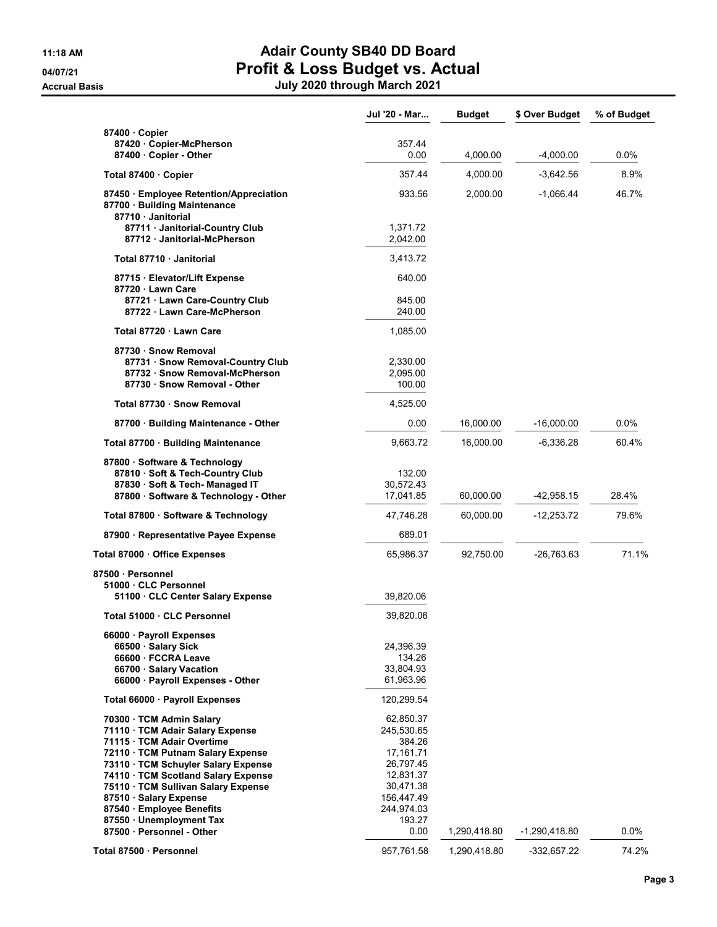|                                                                          | Jul '20 - Mar          | <b>Budget</b> | \$ Over Budget  | % of Budget |
|--------------------------------------------------------------------------|------------------------|---------------|-----------------|-------------|
| 87400 Copier                                                             |                        |               |                 |             |
| 87420 · Copier-McPherson                                                 | 357.44                 |               |                 |             |
| 87400 Copier - Other                                                     | 0.00                   | 4,000.00      | $-4,000.00$     | $0.0\%$     |
| Total 87400 Copier                                                       | 357.44                 | 4,000.00      | $-3,642.56$     | 8.9%        |
| 87450 · Employee Retention/Appreciation                                  | 933.56                 | 2,000.00      | $-1,066.44$     | 46.7%       |
| 87700 · Building Maintenance<br>87710 Janitorial                         |                        |               |                 |             |
| 87711 Janitorial-Country Club                                            | 1,371.72               |               |                 |             |
| 87712 · Janitorial-McPherson                                             | 2,042.00               |               |                 |             |
| Total 87710 · Janitorial                                                 | 3,413.72               |               |                 |             |
| 87715 · Elevator/Lift Expense                                            | 640.00                 |               |                 |             |
| 87720 Lawn Care                                                          |                        |               |                 |             |
| 87721 Lawn Care-Country Club<br>87722 Lawn Care-McPherson                | 845.00<br>240.00       |               |                 |             |
|                                                                          |                        |               |                 |             |
| Total 87720 · Lawn Care                                                  | 1,085.00               |               |                 |             |
| 87730 · Snow Removal                                                     |                        |               |                 |             |
| 87731 · Snow Removal-Country Club<br>87732 · Snow Removal-McPherson      | 2,330.00<br>2,095.00   |               |                 |             |
| 87730 · Snow Removal - Other                                             | 100.00                 |               |                 |             |
| Total 87730 · Snow Removal                                               | 4,525.00               |               |                 |             |
| 87700 Building Maintenance - Other                                       | 0.00                   | 16,000.00     | -16,000.00      | $0.0\%$     |
|                                                                          |                        |               |                 |             |
| Total 87700 · Building Maintenance                                       | 9,663.72               | 16,000.00     | -6,336.28       | 60.4%       |
| 87800 · Software & Technology                                            |                        |               |                 |             |
| 87810 · Soft & Tech-Country Club                                         | 132.00                 |               |                 |             |
| 87830 · Soft & Tech- Managed IT<br>87800 · Software & Technology - Other | 30,572.43<br>17,041.85 | 60,000.00     | -42,958.15      | 28.4%       |
|                                                                          |                        |               |                 |             |
| Total 87800 · Software & Technology                                      | 47,746.28              | 60,000.00     | $-12,253.72$    | 79.6%       |
| 87900 · Representative Payee Expense                                     | 689.01                 |               |                 |             |
| Total 87000 · Office Expenses                                            | 65,986.37              | 92,750.00     | -26,763.63      | 71.1%       |
| 87500 Personnel                                                          |                        |               |                 |             |
| 51000 CLC Personnel                                                      |                        |               |                 |             |
| 51100 · CLC Center Salary Expense                                        | 39,820.06              |               |                 |             |
| Total 51000 · CLC Personnel                                              | 39,820.06              |               |                 |             |
| 66000 · Payroll Expenses                                                 |                        |               |                 |             |
| 66500 · Salary Sick                                                      | 24,396.39              |               |                 |             |
| 66600 · FCCRA Leave                                                      | 134.26                 |               |                 |             |
| 66700 · Salary Vacation                                                  | 33,804.93              |               |                 |             |
| 66000 · Payroll Expenses - Other                                         | 61,963.96              |               |                 |             |
| Total 66000 · Payroll Expenses                                           | 120,299.54             |               |                 |             |
| 70300 TCM Admin Salary                                                   | 62,850.37              |               |                 |             |
| 71110 TCM Adair Salary Expense                                           | 245,530.65             |               |                 |             |
| 71115 · TCM Adair Overtime                                               | 384.26                 |               |                 |             |
| 72110 · TCM Putnam Salary Expense                                        | 17,161.71              |               |                 |             |
| 73110 · TCM Schuyler Salary Expense                                      | 26,797.45              |               |                 |             |
| 74110 · TCM Scotland Salary Expense                                      | 12,831.37              |               |                 |             |
| 75110 · TCM Sullivan Salary Expense                                      | 30,471.38              |               |                 |             |
| 87510 · Salary Expense                                                   | 156,447.49             |               |                 |             |
| 87540 · Employee Benefits                                                | 244,974.03             |               |                 |             |
| 87550 · Unemployment Tax                                                 | 193.27                 |               |                 |             |
| 87500 Personnel - Other                                                  | 0.00                   | 1,290,418.80  | $-1,290,418.80$ | 0.0%        |
| Total 87500 · Personnel                                                  | 957,761.58             | 1,290,418.80  | -332,657.22     | 74.2%       |